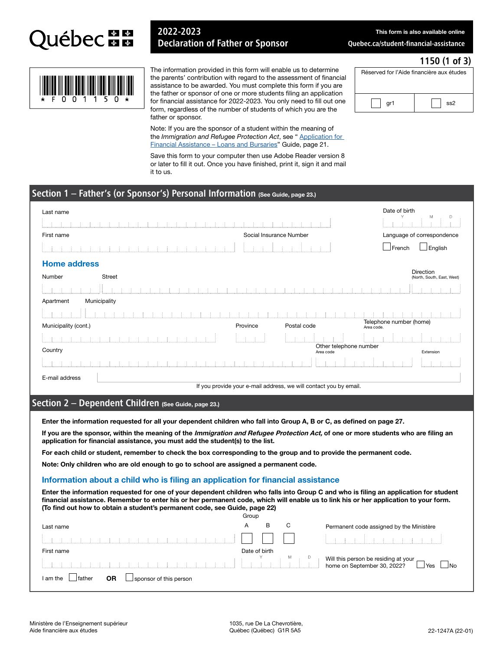

## 2022-2023 Declaration of Father or Sponsor

This form is also available online

1150 (1 of 3)

[Quebec.ca/student-financial-assistance](www.quebec.ca/student-financial-assistance)

Réserved for l'Aide financière aux études

gr1  $\vert$   $\vert$  ss2



The information provided in this form will enable us to determine the parents' contribution with regard to the assessment of financial assistance to be awarded. You must complete this form if you are the father or sponsor of one or more students filing an application for financial assistance for 2022-2023. You only need to fill out one form, regardless of the number of students of which you are the father or sponsor.

Note: If you are the sponsor of a student within the meaning of the *Immigration and Refugee Protection Act*, see " Application for [Financial Assistance – Loans and Bursaries" Guide, page 21.](http://www.afe.gouv.qc.ca/en/all-publications/detail/application-for-financial-assistance-loans-and-bursaries-guide-1/)

Save this form to your computer then use Adobe Reader version 8 or later to fill it out. Once you have finished, print it, sign it and mail it to us.

### Section 1 – Father's (or Sponsor's) Personal Information (See Guide, page 23.)

| Last name            |               |                         |                                                                   | Date of birth<br>M<br>D                 |
|----------------------|---------------|-------------------------|-------------------------------------------------------------------|-----------------------------------------|
|                      |               |                         |                                                                   |                                         |
| First name           |               | Social Insurance Number |                                                                   | Language of correspondence              |
|                      |               |                         |                                                                   | English<br>$\Box$ French                |
| <b>Home address</b>  |               |                         |                                                                   |                                         |
| Number               | <b>Street</b> |                         |                                                                   | Direction<br>(North, South, East, West) |
|                      |               |                         |                                                                   |                                         |
| Apartment            | Municipality  |                         |                                                                   |                                         |
|                      |               |                         |                                                                   |                                         |
| Municipality (cont.) |               | Province                | Postal code                                                       | Telephone number (home)<br>Area code.   |
|                      |               |                         |                                                                   |                                         |
| Country              |               |                         | Other telephone number<br>Area code                               | Extension                               |
|                      |               |                         |                                                                   |                                         |
| E-mail address       |               |                         |                                                                   |                                         |
|                      |               |                         | If you provide your e-mail address, we will contact you by email. |                                         |

## Section 2 - Dependent Children (See Guide, page 23.)

Enter the information requested for all your dependent children who fall into Group A, B or C, as defined on page 27.

If you are the sponsor, within the meaning of the Immigration and Refugee Protection Act, of one or more students who are filing an application for financial assistance, you must add the student(s) to the list.

For each child or student, remember to check the box corresponding to the group and to provide the permanent code.

Note: Only children who are old enough to go to school are assigned a permanent code.

#### Information about a child who is filing an application for financial assistance

Enter the information requested for one of your dependent children who falls into Group C and who is filing an application for student financial assistance. Remember to enter his or her permanent code, which will enable us to link his or her application to your form. (To find out how to obtain a student's permanent code, see Guide, page 22)

|                                                           | Group |               |   |                                                                         |
|-----------------------------------------------------------|-------|---------------|---|-------------------------------------------------------------------------|
| Last name                                                 | A     | в             | С | Permanent code assigned by the Ministère                                |
| contract and a contract and a contract                    |       |               |   |                                                                         |
| First name                                                |       | Date of birth |   |                                                                         |
|                                                           |       |               | M | Will this person be residing at your $\Box$<br><sup>1</sup> Yes<br>J No |
| <b>OR</b><br>father<br>I am the<br>sponsor of this person |       |               |   |                                                                         |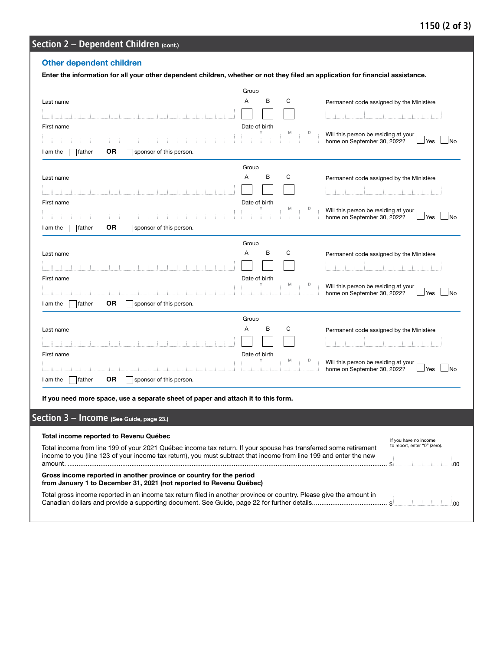## 1150 (2 of 3)

# Section 2 - Dependent Children (cont.)

## Other dependent children

|                                                                                                                                                                                                                                       | Group                   |                                                                                     |
|---------------------------------------------------------------------------------------------------------------------------------------------------------------------------------------------------------------------------------------|-------------------------|-------------------------------------------------------------------------------------|
| Last name                                                                                                                                                                                                                             | В<br>С<br>Α             | Permanent code assigned by the Ministère                                            |
|                                                                                                                                                                                                                                       |                         |                                                                                     |
| First name                                                                                                                                                                                                                            | Date of birth           |                                                                                     |
|                                                                                                                                                                                                                                       |                         | Will this person be residing at your<br>home on September 30, 2022?<br>⊿No<br>J Yes |
| 0R<br>father<br>sponsor of this person.<br>I am the                                                                                                                                                                                   |                         |                                                                                     |
|                                                                                                                                                                                                                                       | Group                   |                                                                                     |
| Last name                                                                                                                                                                                                                             | В<br>Α<br>С             | Permanent code assigned by the Ministère                                            |
|                                                                                                                                                                                                                                       |                         |                                                                                     |
| First name                                                                                                                                                                                                                            | Date of birth<br>M<br>D | Will this person be residing at your                                                |
|                                                                                                                                                                                                                                       |                         | home on September 30, 2022?<br>- INo<br>⊿ Yes                                       |
| <b>OR</b><br>father<br>sponsor of this person.<br>I am the                                                                                                                                                                            |                         |                                                                                     |
|                                                                                                                                                                                                                                       | Group                   |                                                                                     |
| Last name                                                                                                                                                                                                                             | в<br>С<br>Α             | Permanent code assigned by the Ministère                                            |
|                                                                                                                                                                                                                                       |                         |                                                                                     |
| First name                                                                                                                                                                                                                            | Date of birth<br>Μ<br>D | Will this person be residing at your                                                |
|                                                                                                                                                                                                                                       |                         | home on September 30, 2022?<br>$\blacksquare$ No<br>⊿Yes l                          |
| 0R<br>father<br>sponsor of this person.<br>I am the                                                                                                                                                                                   |                         |                                                                                     |
|                                                                                                                                                                                                                                       | Group<br>в<br>Α<br>С    |                                                                                     |
| Last name                                                                                                                                                                                                                             |                         | Permanent code assigned by the Ministère                                            |
| First name                                                                                                                                                                                                                            | Date of birth           |                                                                                     |
|                                                                                                                                                                                                                                       |                         | Will this person be residing at your                                                |
| <b>OR</b><br>father<br>sponsor of this person.<br>I am the                                                                                                                                                                            |                         | home on September 30, 2022?<br>⊿Yes ∟No                                             |
|                                                                                                                                                                                                                                       |                         |                                                                                     |
| If you need more space, use a separate sheet of paper and attach it to this form.                                                                                                                                                     |                         |                                                                                     |
| Section $3$ - Income (See Guide, page 23.)                                                                                                                                                                                            |                         |                                                                                     |
|                                                                                                                                                                                                                                       |                         |                                                                                     |
| Total income reported to Revenu Québec                                                                                                                                                                                                |                         | If you have no income                                                               |
| Total income from line 199 of your 2021 Québec income tax return. If your spouse has transferred some retirement<br>income to you (line 123 of your income tax return), you must subtract that income from line 199 and enter the new |                         | to report, enter "0" (zero).                                                        |
|                                                                                                                                                                                                                                       |                         |                                                                                     |
| Gross income reported in another province or country for the period<br>from January 1 to December 31, 2021 (not reported to Revenu Québec)                                                                                            |                         |                                                                                     |